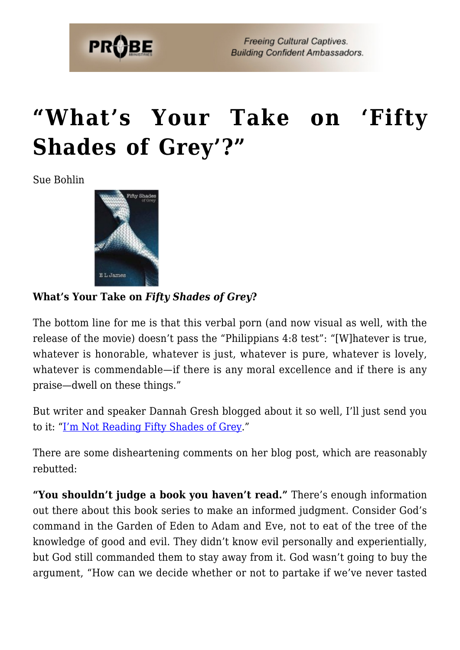

## **["What's Your Take on 'Fifty](https://probe.org/whats-your-take-on-fifty-shades-of-grey/) [Shades of Grey'?"](https://probe.org/whats-your-take-on-fifty-shades-of-grey/)**

Sue Bohlin



## **What's Your Take on** *Fifty Shades of Grey***?**

The bottom line for me is that this verbal porn (and now visual as well, with the release of the movie) doesn't pass the "Philippians 4:8 test": "[W]hatever is true, whatever is honorable, whatever is just, whatever is pure, whatever is lovely, whatever is commendable—if there is any moral excellence and if there is any praise—dwell on these things."

But writer and speaker Dannah Gresh blogged about it so well, I'll just send you to it: ["I'm Not Reading Fifty Shades of Grey.](http://www.purefreedom.org/blog/?p=320)"

There are some disheartening comments on her blog post, which are reasonably rebutted:

**"You shouldn't judge a book you haven't read."** There's enough information out there about this book series to make an informed judgment. Consider God's command in the Garden of Eden to Adam and Eve, not to eat of the tree of the knowledge of good and evil. They didn't know evil personally and experientially, but God still commanded them to stay away from it. God wasn't going to buy the argument, "How can we decide whether or not to partake if we've never tasted